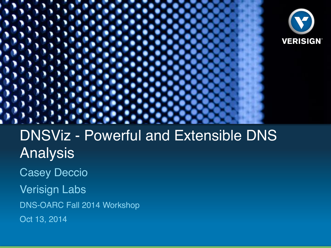



**VERISIGN'** 

Casey Deccio

Verisign Labs

DNS-OARC Fall 2014 Workshop

Oct 13, 2014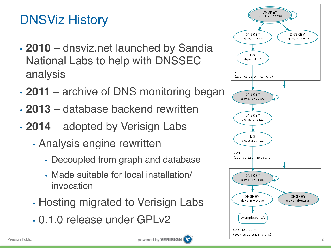# DNSViz History

- **2010** dnsviz.net launched by Sandia National Labs to help with DNSSEC analysis
- **2011** archive of DNS monitoring began
- **2013** database backend rewritten
- **2014** adopted by Verisign Labs
	- Analysis engine rewritten
		- Decoupled from graph and database
		- Made suitable for local installation/ invocation
	- Hosting migrated to Verisign Labs
	- 0.1.0 release under GPLv2



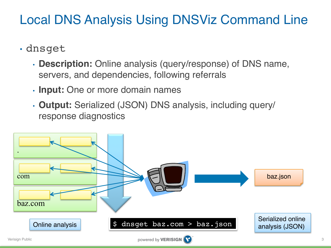## Local DNS Analysis Using DNSViz Command Line

- dnsget
	- **Description:** Online analysis (query/response) of DNS name, servers, and dependencies, following referrals
	- **Input:** One or more domain names
	- **Output:** Serialized (JSON) DNS analysis, including query/ response diagnostics

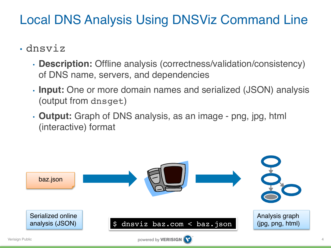## Local DNS Analysis Using DNSViz Command Line

- dnsviz
	- **Description:** Offline analysis (correctness/validation/consistency) of DNS name, servers, and dependencies
	- **Input:** One or more domain names and serialized (JSON) analysis (output from dnsget)
	- **Output:** Graph of DNS analysis, as an image png, jpg, html (interactive) format

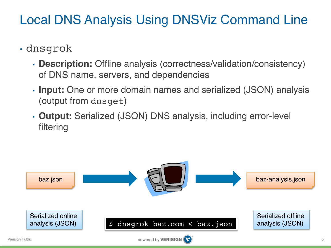## Local DNS Analysis Using DNSViz Command Line

- dnsgrok
	- **Description:** Offline analysis (correctness/validation/consistency) of DNS name, servers, and dependencies
	- **Input:** One or more domain names and serialized (JSON) analysis (output from dnsget)
	- **Output:** Serialized (JSON) DNS analysis, including error-level filtering

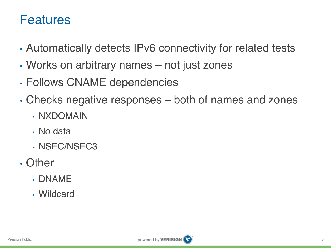#### Features

- Automatically detects IPv6 connectivity for related tests
- Works on arbitrary names not just zones
- Follows CNAME dependencies
- Checks negative responses both of names and zones
	- NXDOMAIN
	- No data
	- NSEC/NSEC3
- Other
	- DNAME
	- Wildcard

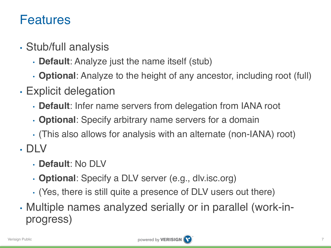#### Features

- Stub/full analysis
	- **Default**: Analyze just the name itself (stub)
	- **Optional**: Analyze to the height of any ancestor, including root (full)
- Explicit delegation
	- **Default**: Infer name servers from delegation from IANA root
	- **Optional**: Specify arbitrary name servers for a domain
	- (This also allows for analysis with an alternate (non-IANA) root)
- DLV
	- **Default**: No DLV
	- **Optional**: Specify a DLV server (e.g., dlv.isc.org)
	- (Yes, there is still quite a presence of DLV users out there)
- Multiple names analyzed serially or in parallel (work-inprogress)

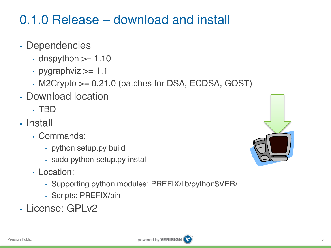## 0.1.0 Release – download and install

- Dependencies
	- $\cdot$  dnspython  $\geq 1.10$
	- pygraphviz  $\ge$  1.1
	- M2Crypto >= 0.21.0 (patches for DSA, ECDSA, GOST)
- Download location
	- TBD
- Install
	- Commands:
		- python setup.py build
		- sudo python setup.py install
	- Location:
		- Supporting python modules: PREFIX/lib/python\$VER/
		- Scripts: PREFIX/bin
- License: GPLv2

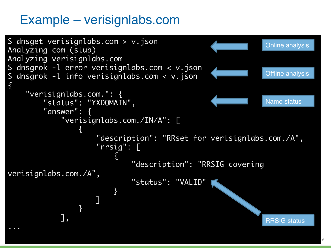### Example – verisignlabs.com

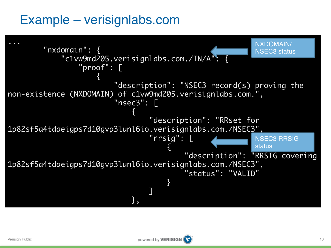### Example – verisignlabs.com

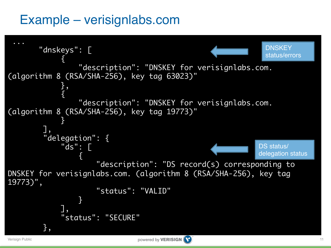### Example – verisignlabs.com

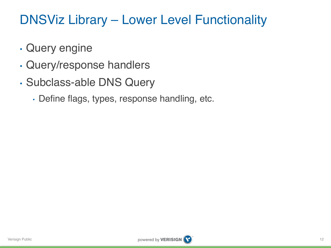## DNSViz Library – Lower Level Functionality

- Query engine
- Query/response handlers
- Subclass-able DNS Query
	- Define flags, types, response handling, etc.

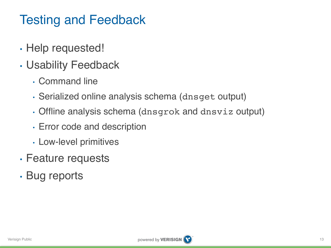# Testing and Feedback

- Help requested!
- Usability Feedback
	- Command line
	- Serialized online analysis schema (dnsget output)
	- Offline analysis schema (dnsgrok and dnsviz output)
	- Error code and description
	- Low-level primitives
- Feature requests
- Bug reports

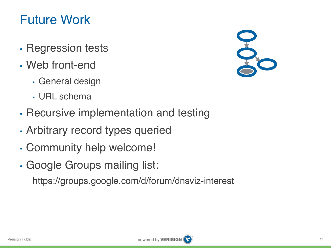## Future Work

- Regression tests
- Web front-end
	- General design
	- URL schema
- Recursive implementation and testing
- Arbitrary record types queried
- Community help welcome!
- Google Groups mailing list:

https://groups.google.com/d/forum/dnsviz-interest